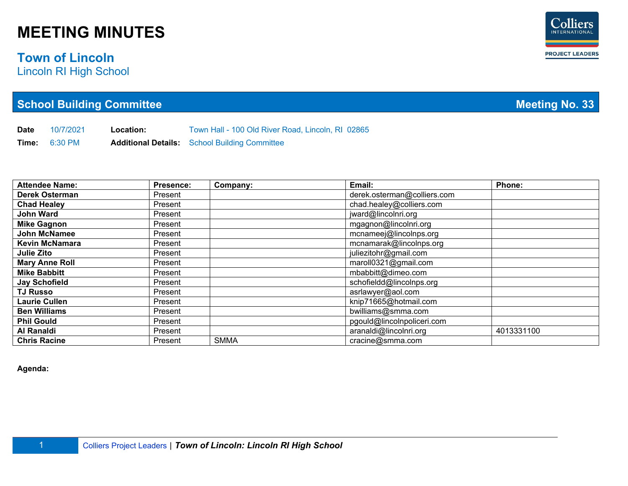#### **Town of Lincoln**

Lincoln RI High School

| <b>School Building Committee</b> |
|----------------------------------|
|----------------------------------|

**Date** 10/7/2021 **Location:** Town Hall - 100 Old River Road, Lincoln, RI 02865 **Time:** 6:30 PM **Additional Details:** School Building Committee

| <b>Attendee Name:</b> | <b>Presence:</b> | Company:    | Email:                      | Phone:     |
|-----------------------|------------------|-------------|-----------------------------|------------|
| <b>Derek Osterman</b> | Present          |             | derek.osterman@colliers.com |            |
| <b>Chad Healey</b>    | Present          |             | chad.healey@colliers.com    |            |
| <b>John Ward</b>      | Present          |             | jward@lincolnri.org         |            |
| <b>Mike Gagnon</b>    | Present          |             | mgagnon@lincolnri.org       |            |
| <b>John McNamee</b>   | Present          |             | mcnameej@lincolnps.org      |            |
| <b>Kevin McNamara</b> | Present          |             | mcnamarak@lincolnps.org     |            |
| <b>Julie Zito</b>     | Present          |             | juliezitohr@gmail.com       |            |
| <b>Mary Anne Roll</b> | Present          |             | maroll0321@gmail.com        |            |
| <b>Mike Babbitt</b>   | Present          |             | mbabbitt@dimeo.com          |            |
| <b>Jay Schofield</b>  | Present          |             | schofieldd@lincolnps.org    |            |
| <b>TJ Russo</b>       | Present          |             | asrlawyer@aol.com           |            |
| <b>Laurie Cullen</b>  | Present          |             | knip71665@hotmail.com       |            |
| <b>Ben Williams</b>   | Present          |             | bwilliams@smma.com          |            |
| <b>Phil Gould</b>     | Present          |             | pgould@lincoInpoliceri.com  |            |
| Al Ranaldi            | Present          |             | aranaldi@lincolnri.org      | 4013331100 |
| <b>Chris Racine</b>   | Present          | <b>SMMA</b> | cracine@smma.com            |            |

**Agenda:**



**Meeting No. 33**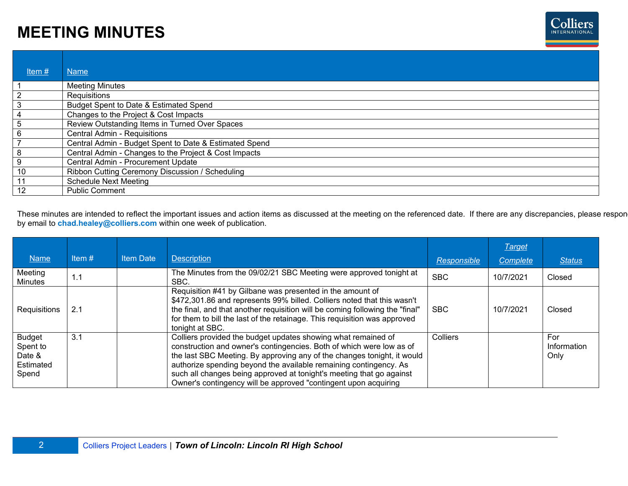

| Item $#$       | <b>Name</b>                                            |
|----------------|--------------------------------------------------------|
|                | <b>Meeting Minutes</b>                                 |
| $\overline{2}$ | Requisitions                                           |
| 3              | Budget Spent to Date & Estimated Spend                 |
| 4              | Changes to the Project & Cost Impacts                  |
| 5              | Review Outstanding Items in Turned Over Spaces         |
| 6              | Central Admin - Requisitions                           |
| 7              | Central Admin - Budget Spent to Date & Estimated Spend |
| 8              | Central Admin - Changes to the Project & Cost Impacts  |
| 9              | Central Admin - Procurement Update                     |
| 10             | Ribbon Cutting Ceremony Discussion / Scheduling        |
| 11             | <b>Schedule Next Meeting</b>                           |
| 12             | <b>Public Comment</b>                                  |

These minutes are intended to reflect the important issues and action items as discussed at the meeting on the referenced date. If there are any discrepancies, please respon by email to **chad.healey@colliers.com** within one week of publication.

|                                                           |          |                  |                                                                                                                                                                                                                                                                                                                                                                                                                                  |             | <b>Target</b> |                            |
|-----------------------------------------------------------|----------|------------------|----------------------------------------------------------------------------------------------------------------------------------------------------------------------------------------------------------------------------------------------------------------------------------------------------------------------------------------------------------------------------------------------------------------------------------|-------------|---------------|----------------------------|
| <b>Name</b>                                               | Item $#$ | <b>Item Date</b> | <b>Description</b>                                                                                                                                                                                                                                                                                                                                                                                                               | Responsible | Complete      | <b>Status</b>              |
| Meeting<br>Minutes                                        | 1.1      |                  | The Minutes from the 09/02/21 SBC Meeting were approved tonight at<br>SBC.                                                                                                                                                                                                                                                                                                                                                       | <b>SBC</b>  | 10/7/2021     | Closed                     |
| Requisitions                                              | 2.1      |                  | Requisition #41 by Gilbane was presented in the amount of<br>\$472,301.86 and represents 99% billed. Colliers noted that this wasn't<br>the final, and that another requisition will be coming following the "final"<br>for them to bill the last of the retainage. This requisition was approved<br>tonight at SBC.                                                                                                             | <b>SBC</b>  | 10/7/2021     | Closed                     |
| <b>Budget</b><br>Spent to<br>Date &<br>Estimated<br>Spend | 3.1      |                  | Colliers provided the budget updates showing what remained of<br>construction and owner's contingencies. Both of which were low as of<br>the last SBC Meeting. By approving any of the changes tonight, it would<br>authorize spending beyond the available remaining contingency. As<br>such all changes being approved at tonight's meeting that go against<br>Owner's contingency will be approved "contingent upon acquiring | Colliers    |               | For<br>Information<br>Only |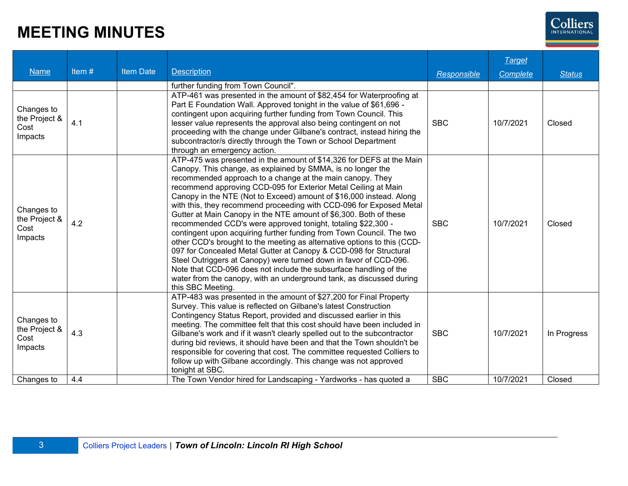

| <b>Name</b>                                    | Item# | <b>Item Date</b> | <b>Description</b>                                                                                                                                                                                                                                                                                                                                                                                                                                                                                                                                                                                                                                                                                                                                                                                                                                                                                                                                                                                                   | <b>Responsible</b> | <b>Target</b><br><b>Complete</b> | <b>Status</b> |
|------------------------------------------------|-------|------------------|----------------------------------------------------------------------------------------------------------------------------------------------------------------------------------------------------------------------------------------------------------------------------------------------------------------------------------------------------------------------------------------------------------------------------------------------------------------------------------------------------------------------------------------------------------------------------------------------------------------------------------------------------------------------------------------------------------------------------------------------------------------------------------------------------------------------------------------------------------------------------------------------------------------------------------------------------------------------------------------------------------------------|--------------------|----------------------------------|---------------|
|                                                |       |                  | further funding from Town Council".                                                                                                                                                                                                                                                                                                                                                                                                                                                                                                                                                                                                                                                                                                                                                                                                                                                                                                                                                                                  |                    |                                  |               |
| Changes to<br>the Project &<br>Cost<br>Impacts | 4.1   |                  | ATP-461 was presented in the amount of \$82,454 for Waterproofing at<br>Part E Foundation Wall. Approved tonight in the value of \$61,696 -<br>contingent upon acquiring further funding from Town Council. This<br>lesser value represents the approval also being contingent on not<br>proceeding with the change under Gilbane's contract, instead hiring the<br>subcontractor/s directly through the Town or School Department<br>through an emergency action.                                                                                                                                                                                                                                                                                                                                                                                                                                                                                                                                                   | <b>SBC</b>         | 10/7/2021                        | Closed        |
| Changes to<br>the Project &<br>Cost<br>Impacts | 4.2   |                  | ATP-475 was presented in the amount of \$14,326 for DEFS at the Main<br>Canopy. This change, as explained by SMMA, is no longer the<br>recommended approach to a change at the main canopy. They<br>recommend approving CCD-095 for Exterior Metal Ceiling at Main<br>Canopy in the NTE (Not to Exceed) amount of \$16,000 instead. Along<br>with this, they recommend proceeding with CCD-096 for Exposed Metal<br>Gutter at Main Canopy in the NTE amount of \$6,300. Both of these<br>recommended CCD's were approved tonight, totaling \$22,300 -<br>contingent upon acquiring further funding from Town Council. The two<br>other CCD's brought to the meeting as alternative options to this (CCD-<br>097 for Concealed Metal Gutter at Canopy & CCD-098 for Structural<br>Steel Outriggers at Canopy) were turned down in favor of CCD-096.<br>Note that CCD-096 does not include the subsurface handling of the<br>water from the canopy, with an underground tank, as discussed during<br>this SBC Meeting. | <b>SBC</b>         | 10/7/2021                        | Closed        |
| Changes to<br>the Project &<br>Cost<br>Impacts | 4.3   |                  | ATP-483 was presented in the amount of \$27,200 for Final Property<br>Survey. This value is reflected on Gilbane's latest Construction<br>Contingency Status Report, provided and discussed earlier in this<br>meeting. The committee felt that this cost should have been included in<br>Gilbane's work and if it wasn't clearly spelled out to the subcontractor<br>during bid reviews, it should have been and that the Town shouldn't be<br>responsible for covering that cost. The committee requested Colliers to<br>follow up with Gilbane accordingly. This change was not approved<br>tonight at SBC.                                                                                                                                                                                                                                                                                                                                                                                                       | <b>SBC</b>         | 10/7/2021                        | In Progress   |
| Changes to                                     | 4.4   |                  | The Town Vendor hired for Landscaping - Yardworks - has quoted a                                                                                                                                                                                                                                                                                                                                                                                                                                                                                                                                                                                                                                                                                                                                                                                                                                                                                                                                                     | <b>SBC</b>         | 10/7/2021                        | Closed        |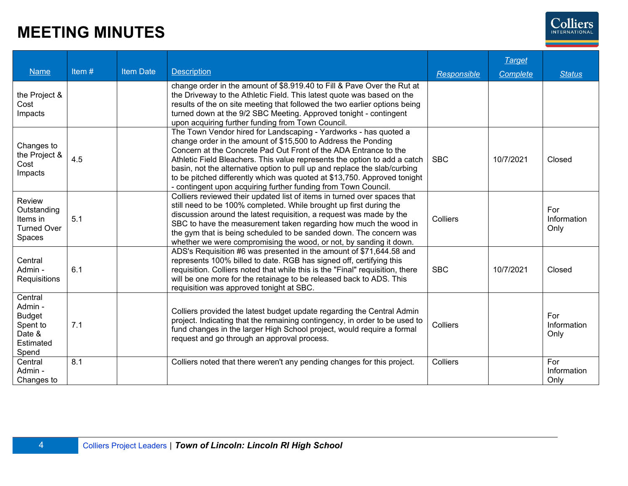

| <b>Name</b>                                                                     | Item $#$ | <b>Item Date</b> | <b>Description</b>                                                                                                                                                                                                                                                                                                                                                                                                                                                                                            | Responsible | <b>Target</b><br>Complete | <b>Status</b>              |
|---------------------------------------------------------------------------------|----------|------------------|---------------------------------------------------------------------------------------------------------------------------------------------------------------------------------------------------------------------------------------------------------------------------------------------------------------------------------------------------------------------------------------------------------------------------------------------------------------------------------------------------------------|-------------|---------------------------|----------------------------|
| the Project &<br>Cost<br>Impacts                                                |          |                  | change order in the amount of \$8.919.40 to Fill & Pave Over the Rut at<br>the Driveway to the Athletic Field. This latest quote was based on the<br>results of the on site meeting that followed the two earlier options being<br>turned down at the 9/2 SBC Meeting. Approved tonight - contingent<br>upon acquiring further funding from Town Council.                                                                                                                                                     |             |                           |                            |
| Changes to<br>the Project &<br>Cost<br>Impacts                                  | 4.5      |                  | The Town Vendor hired for Landscaping - Yardworks - has quoted a<br>change order in the amount of \$15,500 to Address the Ponding<br>Concern at the Concrete Pad Out Front of the ADA Entrance to the<br>Athletic Field Bleachers. This value represents the option to add a catch<br>basin, not the alternative option to pull up and replace the slab/curbing<br>to be pitched differently which was quoted at \$13,750. Approved tonight<br>- contingent upon acquiring further funding from Town Council. | <b>SBC</b>  | 10/7/2021                 | Closed                     |
| Review<br>Outstanding<br>Items in<br><b>Turned Over</b><br>Spaces               | 5.1      |                  | Colliers reviewed their updated list of items in turned over spaces that<br>still need to be 100% completed. While brought up first during the<br>discussion around the latest requisition, a request was made by the<br>SBC to have the measurement taken regarding how much the wood in<br>the gym that is being scheduled to be sanded down. The concern was<br>whether we were compromising the wood, or not, by sanding it down.                                                                         | Colliers    |                           | For<br>Information<br>Only |
| Central<br>Admin -<br>Requisitions                                              | 6.1      |                  | ADS's Requisition #6 was presented in the amount of \$71,644.58 and<br>represents 100% billed to date. RGB has signed off, certifying this<br>requisition. Colliers noted that while this is the "Final" requisition, there<br>will be one more for the retainage to be released back to ADS. This<br>requisition was approved tonight at SBC.                                                                                                                                                                | <b>SBC</b>  | 10/7/2021                 | Closed                     |
| Central<br>Admin -<br><b>Budget</b><br>Spent to<br>Date &<br>Estimated<br>Spend | 7.1      |                  | Colliers provided the latest budget update regarding the Central Admin<br>project. Indicating that the remaining contingency, in order to be used to<br>fund changes in the larger High School project, would require a formal<br>request and go through an approval process.                                                                                                                                                                                                                                 | Colliers    |                           | For<br>Information<br>Only |
| Central<br>Admin -<br>Changes to                                                | 8.1      |                  | Colliers noted that there weren't any pending changes for this project.                                                                                                                                                                                                                                                                                                                                                                                                                                       | Colliers    |                           | For<br>Information<br>Only |